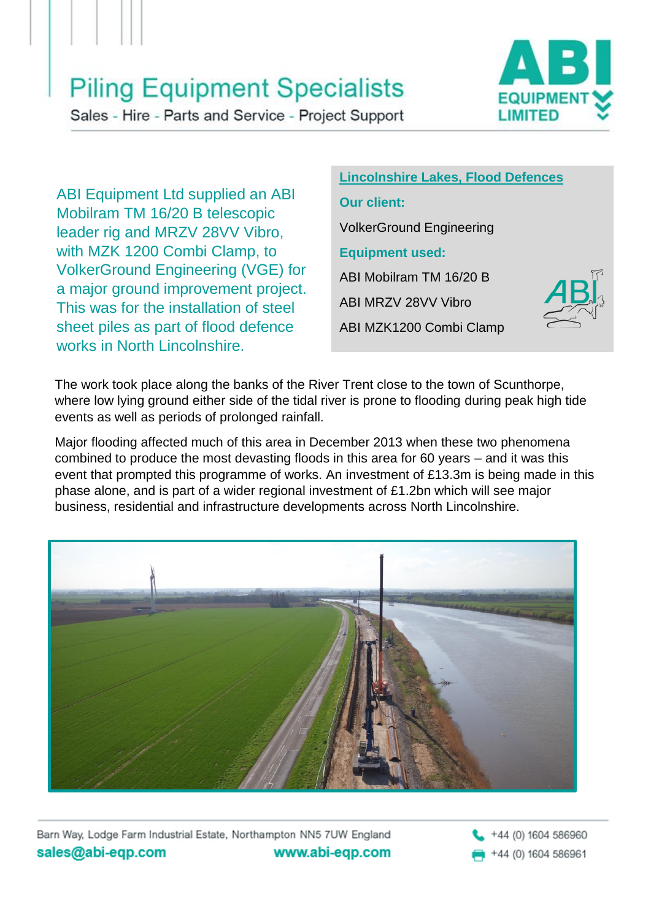## **Piling Equipment Specialists**

Sales - Hire - Parts and Service - Project Support



ABI Equipment Ltd supplied an ABI Mobilram TM 16/20 B telescopic leader rig and MRZV 28VV Vibro, with MZK 1200 Combi Clamp, to VolkerGround Engineering (VGE) for a major ground improvement project. This was for the installation of steel sheet piles as part of flood defence works in North Lincolnshire.

#### **Lincolnshire Lakes, Flood Defences**

#### **Our client:**

VolkerGround Engineering

#### **Equipment used:**

ABI Mobilram TM 16/20 B

ABI MRZV 28VV Vibro

ABI MZK1200 Combi Clamp



The work took place along the banks of the River Trent close to the town of Scunthorpe, where low lying ground either side of the tidal river is prone to flooding during peak high tide events as well as periods of prolonged rainfall.

Major flooding affected much of this area in December 2013 when these two phenomena combined to produce the most devasting floods in this area for 60 years – and it was this event that prompted this programme of works. An investment of £13.3m is being made in this phase alone, and is part of a wider regional investment of £1.2bn which will see major business, residential and infrastructure developments across North Lincolnshire.



Barn Way, Lodge Farm Industrial Estate, Northampton NN5 7UW England sales@abi-eqp.com www.abi-eqp.com

+44 (0) 1604 586960 +44 (0) 1604 586961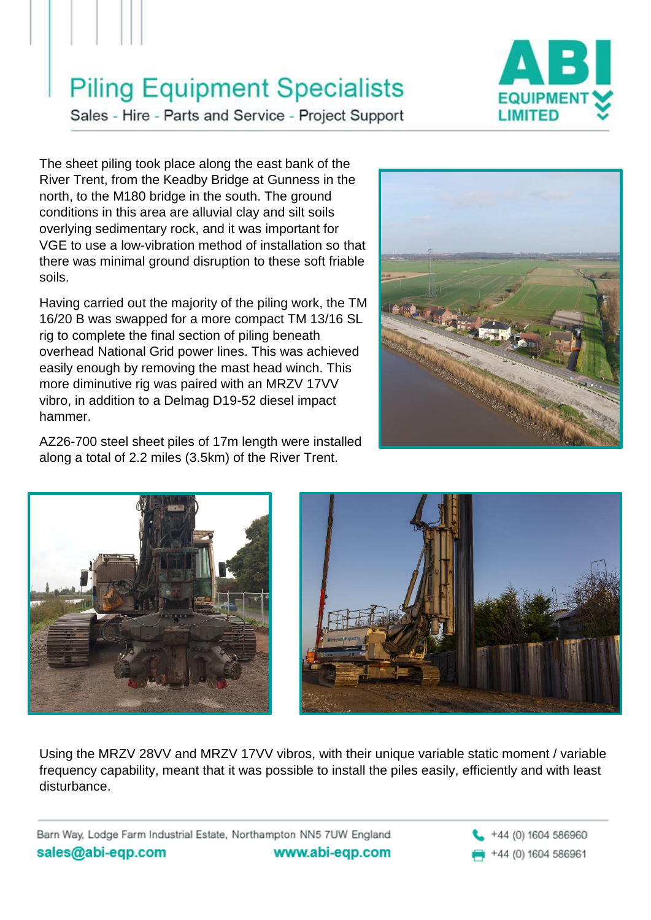## **Piling Equipment Specialists**



Sales - Hire - Parts and Service - Project Support

The sheet piling took place along the east bank of the River Trent, from the Keadby Bridge at Gunness in the north, to the M180 bridge in the south. The ground conditions in this area are alluvial clay and silt soils overlying sedimentary rock, and it was important for VGE to use a low-vibration method of installation so that there was minimal ground disruption to these soft friable soils.

Having carried out the majority of the piling work, the TM 16/20 B was swapped for a more compact TM 13/16 SL rig to complete the final section of piling beneath overhead National Grid power lines. This was achieved easily enough by removing the mast head winch. This more diminutive rig was paired with an MRZV 17VV vibro, in addition to a Delmag D19-52 diesel impact hammer.

AZ26-700 steel sheet piles of 17m length were installed along a total of 2.2 miles (3.5km) of the River Trent.







Using the MRZV 28VV and MRZV 17VV vibros, with their unique variable static moment / variable frequency capability, meant that it was possible to install the piles easily, efficiently and with least disturbance.

Barn Way, Lodge Farm Industrial Estate, Northampton NN5 7UW England sales@abi-eqp.com www.abi-eqp.com

+44 (0) 1604 586960 +44 (0) 1604 586961